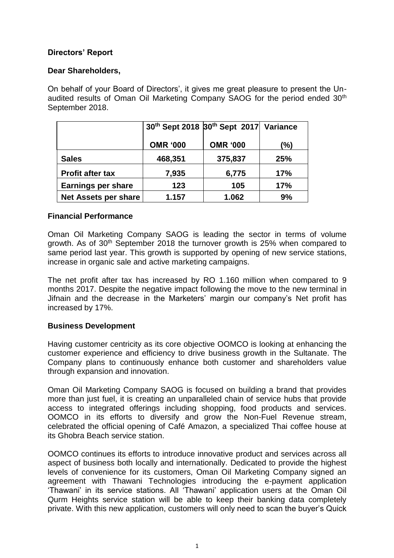## **Directors' Report**

## **Dear Shareholders,**

On behalf of your Board of Directors', it gives me great pleasure to present the Unaudited results of Oman Oil Marketing Company SAOG for the period ended 30<sup>th</sup> September 2018.

|                             |                 | 30th Sept 2018 30th Sept 2017 Variance |            |
|-----------------------------|-----------------|----------------------------------------|------------|
|                             | <b>OMR '000</b> | <b>OMR '000</b>                        | (%)        |
| <b>Sales</b>                | 468,351         | 375,837                                | 25%        |
| <b>Profit after tax</b>     | 7,935           | 6,775                                  | 17%        |
| <b>Earnings per share</b>   | 123             | 105                                    | <b>17%</b> |
| <b>Net Assets per share</b> | 1.157           | 1.062                                  | 9%         |

## **Financial Performance**

Oman Oil Marketing Company SAOG is leading the sector in terms of volume growth. As of 30th September 2018 the turnover growth is 25% when compared to same period last year. This growth is supported by opening of new service stations, increase in organic sale and active marketing campaigns.

The net profit after tax has increased by RO 1.160 million when compared to 9 months 2017. Despite the negative impact following the move to the new terminal in Jifnain and the decrease in the Marketers' margin our company's Net profit has increased by 17%.

## **Business Development**

Having customer centricity as its core objective OOMCO is looking at enhancing the customer experience and efficiency to drive business growth in the Sultanate. The Company plans to continuously enhance both customer and shareholders value through expansion and innovation.

Oman Oil Marketing Company SAOG is focused on building a brand that provides more than just fuel, it is creating an unparalleled chain of service hubs that provide access to integrated offerings including shopping, food products and services. OOMCO in its efforts to diversify and grow the Non-Fuel Revenue stream, celebrated the official opening of Café Amazon, a specialized Thai coffee house at its Ghobra Beach service station.

OOMCO continues its efforts to introduce innovative product and services across all aspect of business both locally and internationally. Dedicated to provide the highest levels of convenience for its customers, Oman Oil Marketing Company signed an agreement with Thawani Technologies introducing the e-payment application 'Thawani' in its service stations. All 'Thawani' application users at the Oman Oil Qurm Heights service station will be able to keep their banking data completely private. With this new application, customers will only need to scan the buyer's Quick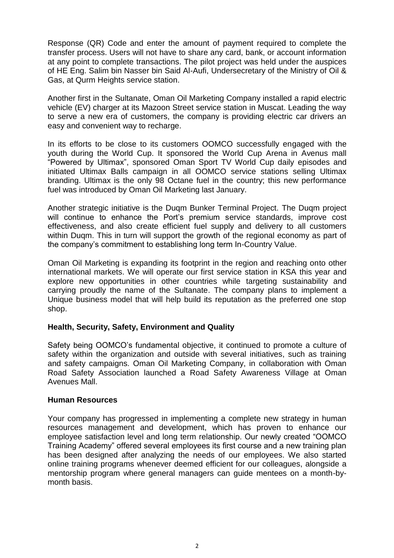Response (QR) Code and enter the amount of payment required to complete the transfer process. Users will not have to share any card, bank, or account information at any point to complete transactions. The pilot project was held under the auspices of HE Eng. Salim bin Nasser bin Said Al-Aufi, Undersecretary of the Ministry of Oil & Gas, at Qurm Heights service station.

Another first in the Sultanate, Oman Oil Marketing Company installed a rapid electric vehicle (EV) charger at its Mazoon Street service station in Muscat. Leading the way to serve a new era of customers, the company is providing electric car drivers an easy and convenient way to recharge.

In its efforts to be close to its customers OOMCO successfully engaged with the youth during the World Cup. It sponsored the World Cup Arena in Avenus mall "Powered by Ultimax", sponsored Oman Sport TV World Cup daily episodes and initiated Ultimax Balls campaign in all OOMCO service stations selling Ultimax branding. Ultimax is the only 98 Octane fuel in the country; this new performance fuel was introduced by Oman Oil Marketing last January.

Another strategic initiative is the Duqm Bunker Terminal Project. The Duqm project will continue to enhance the Port's premium service standards, improve cost effectiveness, and also create efficient fuel supply and delivery to all customers within Duqm. This in turn will support the growth of the regional economy as part of the company's commitment to establishing long term In-Country Value.

Oman Oil Marketing is expanding its footprint in the region and reaching onto other international markets. We will operate our first service station in KSA this year and explore new opportunities in other countries while targeting sustainability and carrying proudly the name of the Sultanate. The company plans to implement a Unique business model that will help build its reputation as the preferred one stop shop.

## **Health, Security, Safety, Environment and Quality**

Safety being OOMCO's fundamental objective, it continued to promote a culture of safety within the organization and outside with several initiatives, such as training and safety campaigns. Oman Oil Marketing Company, in collaboration with Oman Road Safety Association launched a Road Safety Awareness Village at Oman Avenues Mall.

#### **Human Resources**

Your company has progressed in implementing a complete new strategy in human resources management and development, which has proven to enhance our employee satisfaction level and long term relationship. Our newly created "OOMCO Training Academy" offered several employees its first course and a new training plan has been designed after analyzing the needs of our employees. We also started online training programs whenever deemed efficient for our colleagues, alongside a mentorship program where general managers can guide mentees on a month-bymonth basis.